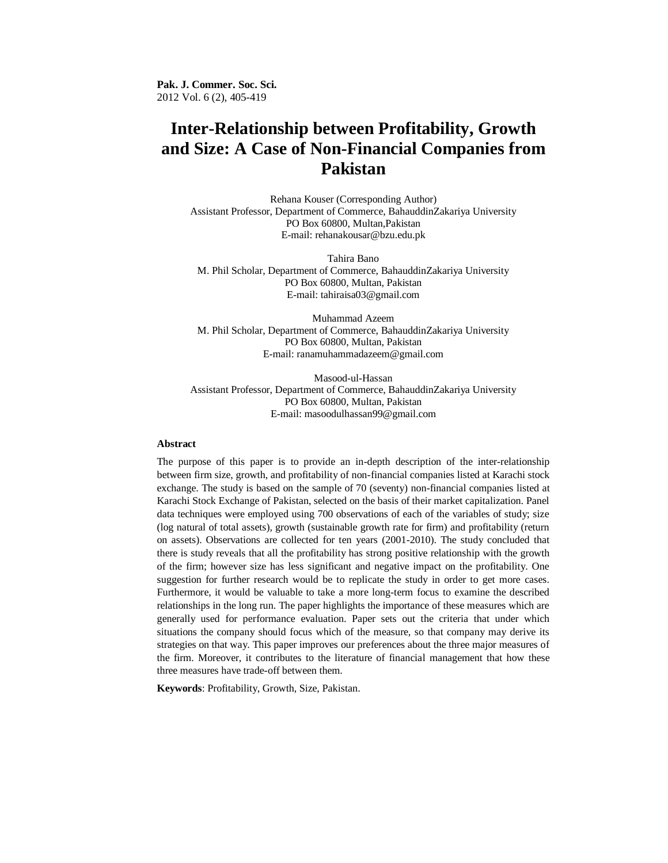**Pak. J. Commer. Soc. Sci.** 2012 Vol. 6 (2), 405-419

# **Inter-Relationship between Profitability, Growth and Size: A Case of Non-Financial Companies from Pakistan**

Rehana Kouser (Corresponding Author) Assistant Professor, Department of Commerce, BahauddinZakariya University PO Box 60800, Multan,Pakistan E-mail: rehanakousar@bzu.edu.pk

Tahira Bano M. Phil Scholar, Department of Commerce, BahauddinZakariya University PO Box 60800, Multan, Pakistan E-mail: tahiraisa03@gmail.com

Muhammad Azeem M. Phil Scholar, Department of Commerce, BahauddinZakariya University PO Box 60800, Multan, Pakistan E-mail: ranamuhammadazeem@gmail.com

Masood-ul-Hassan Assistant Professor, Department of Commerce, BahauddinZakariya University PO Box 60800, Multan, Pakistan E-mail: masoodulhassan99@gmail.com

## **Abstract**

The purpose of this paper is to provide an in-depth description of the inter-relationship between firm size, growth, and profitability of non-financial companies listed at Karachi stock exchange. The study is based on the sample of 70 (seventy) non-financial companies listed at Karachi Stock Exchange of Pakistan, selected on the basis of their market capitalization. Panel data techniques were employed using 700 observations of each of the variables of study; size (log natural of total assets), growth (sustainable growth rate for firm) and profitability (return on assets). Observations are collected for ten years (2001-2010). The study concluded that there is study reveals that all the profitability has strong positive relationship with the growth of the firm; however size has less significant and negative impact on the profitability. One suggestion for further research would be to replicate the study in order to get more cases. Furthermore, it would be valuable to take a more long-term focus to examine the described relationships in the long run. The paper highlights the importance of these measures which are generally used for performance evaluation. Paper sets out the criteria that under which situations the company should focus which of the measure, so that company may derive its strategies on that way. This paper improves our preferences about the three major measures of the firm. Moreover, it contributes to the literature of financial management that how these three measures have trade-off between them.

**Keywords**: Profitability, Growth, Size, Pakistan.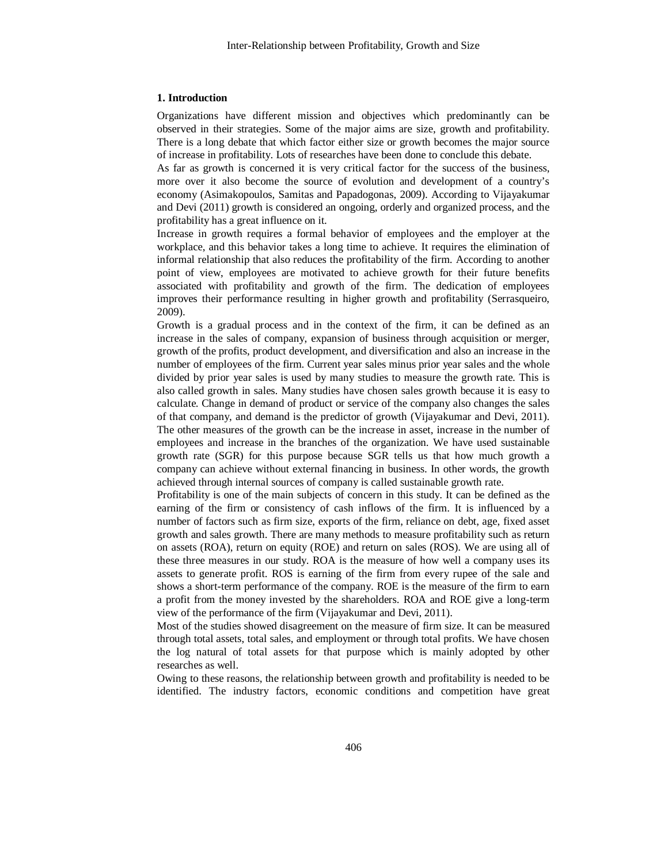#### **1. Introduction**

Organizations have different mission and objectives which predominantly can be observed in their strategies. Some of the major aims are size, growth and profitability. There is a long debate that which factor either size or growth becomes the major source of increase in profitability. Lots of researches have been done to conclude this debate.

As far as growth is concerned it is very critical factor for the success of the business, more over it also become the source of evolution and development of a country's economy (Asimakopoulos, Samitas and Papadogonas, 2009). According to Vijayakumar and Devi (2011) growth is considered an ongoing, orderly and organized process, and the profitability has a great influence on it.

Increase in growth requires a formal behavior of employees and the employer at the workplace, and this behavior takes a long time to achieve. It requires the elimination of informal relationship that also reduces the profitability of the firm. According to another point of view, employees are motivated to achieve growth for their future benefits associated with profitability and growth of the firm. The dedication of employees improves their performance resulting in higher growth and profitability (Serrasqueiro, 2009).

Growth is a gradual process and in the context of the firm, it can be defined as an increase in the sales of company, expansion of business through acquisition or merger, growth of the profits, product development, and diversification and also an increase in the number of employees of the firm. Current year sales minus prior year sales and the whole divided by prior year sales is used by many studies to measure the growth rate. This is also called growth in sales. Many studies have chosen sales growth because it is easy to calculate. Change in demand of product or service of the company also changes the sales of that company, and demand is the predictor of growth (Vijayakumar and Devi, 2011). The other measures of the growth can be the increase in asset, increase in the number of employees and increase in the branches of the organization. We have used sustainable growth rate (SGR) for this purpose because SGR tells us that how much growth a company can achieve without external financing in business. In other words, the growth achieved through internal sources of company is called sustainable growth rate.

Profitability is one of the main subjects of concern in this study. It can be defined as the earning of the firm or consistency of cash inflows of the firm. It is influenced by a number of factors such as firm size, exports of the firm, reliance on debt, age, fixed asset growth and sales growth. There are many methods to measure profitability such as return on assets (ROA), return on equity (ROE) and return on sales (ROS). We are using all of these three measures in our study. ROA is the measure of how well a company uses its assets to generate profit. ROS is earning of the firm from every rupee of the sale and shows a short-term performance of the company. ROE is the measure of the firm to earn a profit from the money invested by the shareholders. ROA and ROE give a long-term view of the performance of the firm (Vijayakumar and Devi, 2011).

Most of the studies showed disagreement on the measure of firm size. It can be measured through total assets, total sales, and employment or through total profits. We have chosen the log natural of total assets for that purpose which is mainly adopted by other researches as well.

Owing to these reasons, the relationship between growth and profitability is needed to be identified. The industry factors, economic conditions and competition have great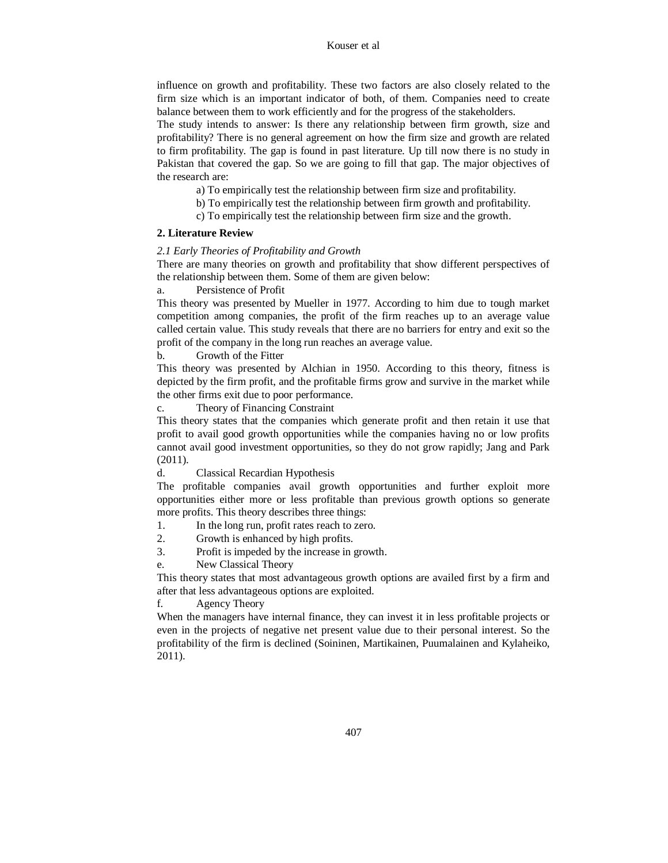influence on growth and profitability. These two factors are also closely related to the firm size which is an important indicator of both, of them. Companies need to create balance between them to work efficiently and for the progress of the stakeholders.

The study intends to answer: Is there any relationship between firm growth, size and profitability? There is no general agreement on how the firm size and growth are related to firm profitability. The gap is found in past literature. Up till now there is no study in Pakistan that covered the gap. So we are going to fill that gap. The major objectives of the research are:

- a) To empirically test the relationship between firm size and profitability.
- b) To empirically test the relationship between firm growth and profitability.
- c) To empirically test the relationship between firm size and the growth.

## **2. Literature Review**

## *2.1 Early Theories of Profitability and Growth*

There are many theories on growth and profitability that show different perspectives of the relationship between them. Some of them are given below:

Persistence of Profit

This theory was presented by Mueller in 1977. According to him due to tough market competition among companies, the profit of the firm reaches up to an average value called certain value. This study reveals that there are no barriers for entry and exit so the profit of the company in the long run reaches an average value.

b. Growth of the Fitter

This theory was presented by Alchian in 1950. According to this theory, fitness is depicted by the firm profit, and the profitable firms grow and survive in the market while the other firms exit due to poor performance.

c. Theory of Financing Constraint

This theory states that the companies which generate profit and then retain it use that profit to avail good growth opportunities while the companies having no or low profits cannot avail good investment opportunities, so they do not grow rapidly; Jang and Park (2011).

d. Classical Recardian Hypothesis

The profitable companies avail growth opportunities and further exploit more opportunities either more or less profitable than previous growth options so generate more profits. This theory describes three things:

- 1. In the long run, profit rates reach to zero.
- 2. Growth is enhanced by high profits.
- 3. Profit is impeded by the increase in growth.
- e. New Classical Theory

This theory states that most advantageous growth options are availed first by a firm and after that less advantageous options are exploited.

f. Agency Theory

When the managers have internal finance, they can invest it in less profitable projects or even in the projects of negative net present value due to their personal interest. So the profitability of the firm is declined (Soininen, Martikainen, Puumalainen and Kylaheiko, 2011).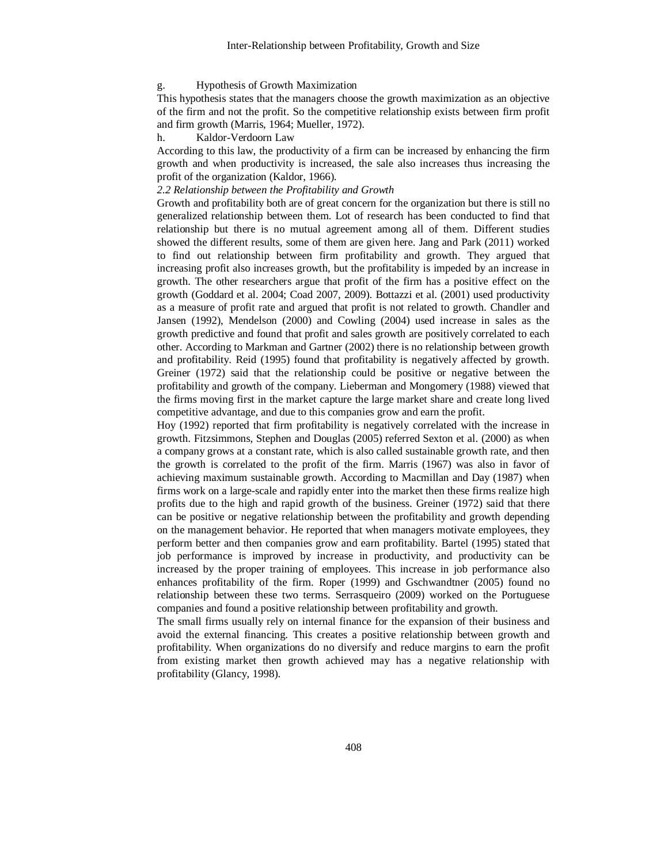#### g. Hypothesis of Growth Maximization

This hypothesis states that the managers choose the growth maximization as an objective of the firm and not the profit. So the competitive relationship exists between firm profit and firm growth (Marris, 1964; Mueller, 1972).

h. Kaldor-Verdoorn Law

According to this law, the productivity of a firm can be increased by enhancing the firm growth and when productivity is increased, the sale also increases thus increasing the profit of the organization (Kaldor, 1966).

#### *2.2 Relationship between the Profitability and Growth*

Growth and profitability both are of great concern for the organization but there is still no generalized relationship between them. Lot of research has been conducted to find that relationship but there is no mutual agreement among all of them. Different studies showed the different results, some of them are given here. Jang and Park (2011) worked to find out relationship between firm profitability and growth. They argued that increasing profit also increases growth, but the profitability is impeded by an increase in growth. The other researchers argue that profit of the firm has a positive effect on the growth (Goddard et al. 2004; Coad 2007, 2009). Bottazzi et al. (2001) used productivity as a measure of profit rate and argued that profit is not related to growth. Chandler and Jansen (1992), Mendelson (2000) and Cowling (2004) used increase in sales as the growth predictive and found that profit and sales growth are positively correlated to each other. According to Markman and Gartner (2002) there is no relationship between growth and profitability. Reid (1995) found that profitability is negatively affected by growth. Greiner (1972) said that the relationship could be positive or negative between the profitability and growth of the company. Lieberman and Mongomery (1988) viewed that the firms moving first in the market capture the large market share and create long lived competitive advantage, and due to this companies grow and earn the profit.

Hoy (1992) reported that firm profitability is negatively correlated with the increase in growth. Fitzsimmons, Stephen and Douglas (2005) referred Sexton et al. (2000) as when a company grows at a constant rate, which is also called sustainable growth rate, and then the growth is correlated to the profit of the firm. Marris (1967) was also in favor of achieving maximum sustainable growth. According to Macmillan and Day (1987) when firms work on a large-scale and rapidly enter into the market then these firms realize high profits due to the high and rapid growth of the business. Greiner (1972) said that there can be positive or negative relationship between the profitability and growth depending on the management behavior. He reported that when managers motivate employees, they perform better and then companies grow and earn profitability. Bartel (1995) stated that job performance is improved by increase in productivity, and productivity can be increased by the proper training of employees. This increase in job performance also enhances profitability of the firm. Roper (1999) and Gschwandtner (2005) found no relationship between these two terms. Serrasqueiro (2009) worked on the Portuguese companies and found a positive relationship between profitability and growth.

The small firms usually rely on internal finance for the expansion of their business and avoid the external financing. This creates a positive relationship between growth and profitability. When organizations do no diversify and reduce margins to earn the profit from existing market then growth achieved may has a negative relationship with profitability (Glancy, 1998).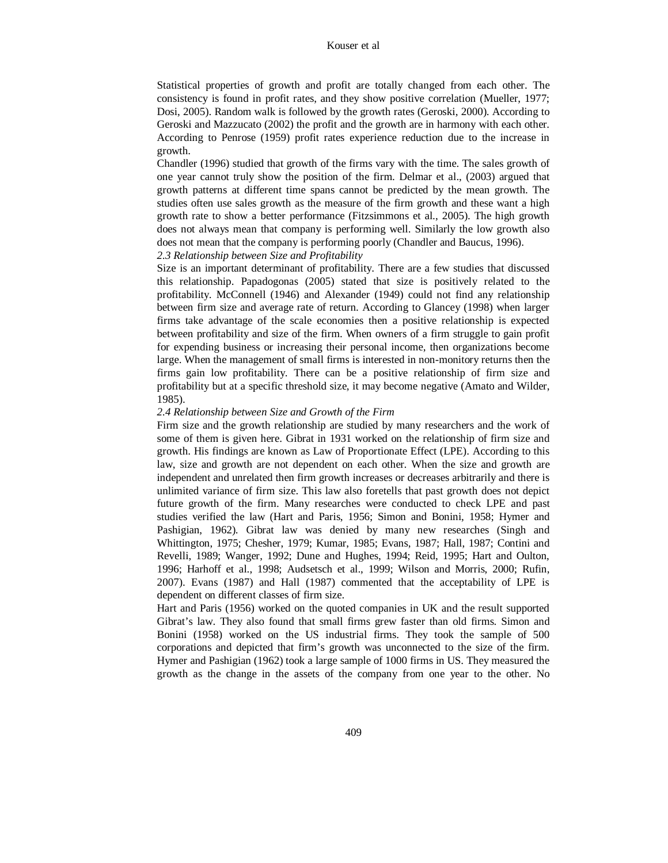Statistical properties of growth and profit are totally changed from each other. The consistency is found in profit rates, and they show positive correlation (Mueller, 1977; Dosi, 2005). Random walk is followed by the growth rates (Geroski, 2000). According to Geroski and Mazzucato (2002) the profit and the growth are in harmony with each other. According to Penrose (1959) profit rates experience reduction due to the increase in growth.

Chandler (1996) studied that growth of the firms vary with the time. The sales growth of one year cannot truly show the position of the firm. Delmar et al., (2003) argued that growth patterns at different time spans cannot be predicted by the mean growth. The studies often use sales growth as the measure of the firm growth and these want a high growth rate to show a better performance (Fitzsimmons et al., 2005). The high growth does not always mean that company is performing well. Similarly the low growth also does not mean that the company is performing poorly (Chandler and Baucus, 1996).

*2.3 Relationship between Size and Profitability*

Size is an important determinant of profitability. There are a few studies that discussed this relationship. Papadogonas (2005) stated that size is positively related to the profitability. McConnell (1946) and Alexander (1949) could not find any relationship between firm size and average rate of return. According to Glancey (1998) when larger firms take advantage of the scale economies then a positive relationship is expected between profitability and size of the firm. When owners of a firm struggle to gain profit for expending business or increasing their personal income, then organizations become large. When the management of small firms is interested in non-monitory returns then the firms gain low profitability. There can be a positive relationship of firm size and profitability but at a specific threshold size, it may become negative (Amato and Wilder, 1985).

#### *2.4 Relationship between Size and Growth of the Firm*

Firm size and the growth relationship are studied by many researchers and the work of some of them is given here. Gibrat in 1931 worked on the relationship of firm size and growth. His findings are known as Law of Proportionate Effect (LPE). According to this law, size and growth are not dependent on each other. When the size and growth are independent and unrelated then firm growth increases or decreases arbitrarily and there is unlimited variance of firm size. This law also foretells that past growth does not depict future growth of the firm. Many researches were conducted to check LPE and past studies verified the law (Hart and Paris, 1956; Simon and Bonini, 1958; Hymer and Pashigian, 1962). Gibrat law was denied by many new researches (Singh and Whittington, 1975; Chesher, 1979; Kumar, 1985; Evans, 1987; Hall, 1987; Contini and Revelli, 1989; Wanger, 1992; Dune and Hughes, 1994; Reid, 1995; Hart and Oulton, 1996; Harhoff et al., 1998; Audsetsch et al., 1999; Wilson and Morris, 2000; Rufin, 2007). Evans (1987) and Hall (1987) commented that the acceptability of LPE is dependent on different classes of firm size.

Hart and Paris (1956) worked on the quoted companies in UK and the result supported Gibrat's law. They also found that small firms grew faster than old firms. Simon and Bonini (1958) worked on the US industrial firms. They took the sample of 500 corporations and depicted that firm's growth was unconnected to the size of the firm. Hymer and Pashigian (1962) took a large sample of 1000 firms in US. They measured the growth as the change in the assets of the company from one year to the other. No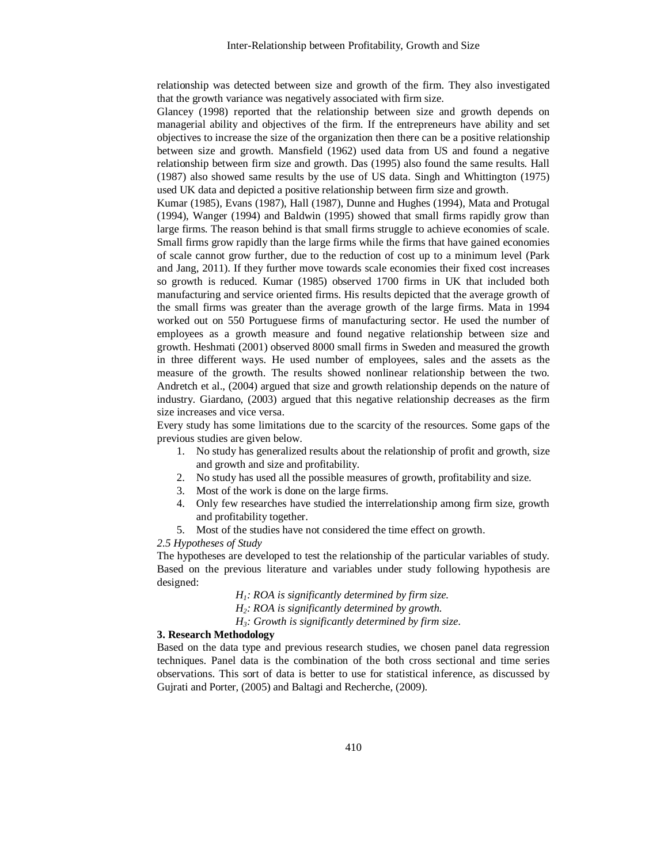relationship was detected between size and growth of the firm. They also investigated that the growth variance was negatively associated with firm size.

Glancey (1998) reported that the relationship between size and growth depends on managerial ability and objectives of the firm. If the entrepreneurs have ability and set objectives to increase the size of the organization then there can be a positive relationship between size and growth. Mansfield (1962) used data from US and found a negative relationship between firm size and growth. Das (1995) also found the same results. Hall (1987) also showed same results by the use of US data. Singh and Whittington (1975) used UK data and depicted a positive relationship between firm size and growth.

Kumar (1985), Evans (1987), Hall (1987), Dunne and Hughes (1994), Mata and Protugal (1994), Wanger (1994) and Baldwin (1995) showed that small firms rapidly grow than large firms. The reason behind is that small firms struggle to achieve economies of scale. Small firms grow rapidly than the large firms while the firms that have gained economies of scale cannot grow further, due to the reduction of cost up to a minimum level (Park and Jang, 2011). If they further move towards scale economies their fixed cost increases so growth is reduced. Kumar (1985) observed 1700 firms in UK that included both manufacturing and service oriented firms. His results depicted that the average growth of the small firms was greater than the average growth of the large firms. Mata in 1994 worked out on 550 Portuguese firms of manufacturing sector. He used the number of employees as a growth measure and found negative relationship between size and growth. Heshmati (2001) observed 8000 small firms in Sweden and measured the growth in three different ways. He used number of employees, sales and the assets as the measure of the growth. The results showed nonlinear relationship between the two. Andretch et al., (2004) argued that size and growth relationship depends on the nature of industry. Giardano, (2003) argued that this negative relationship decreases as the firm size increases and vice versa.

Every study has some limitations due to the scarcity of the resources. Some gaps of the previous studies are given below.

- 1. No study has generalized results about the relationship of profit and growth, size and growth and size and profitability.
- 2. No study has used all the possible measures of growth, profitability and size.
- 3. Most of the work is done on the large firms.
- 4. Only few researches have studied the interrelationship among firm size, growth and profitability together.
- 5. Most of the studies have not considered the time effect on growth.

#### *2.5 Hypotheses of Study*

The hypotheses are developed to test the relationship of the particular variables of study. Based on the previous literature and variables under study following hypothesis are designed:

*H1: ROA is significantly determined by firm size.*

*H2: ROA is significantly determined by growth.*

*H3: Growth is significantly determined by firm size.*

## **3. Research Methodology**

Based on the data type and previous research studies, we chosen panel data regression techniques. Panel data is the combination of the both cross sectional and time series observations. This sort of data is better to use for statistical inference, as discussed by Gujrati and Porter, (2005) and Baltagi and Recherche, (2009).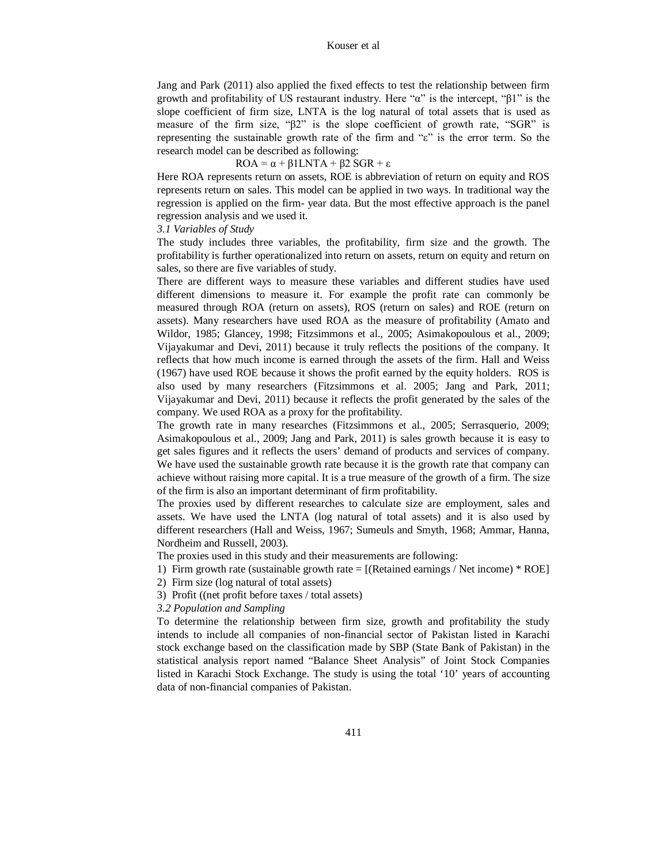Jang and Park (2011) also applied the fixed effects to test the relationship between firm growth and profitability of US restaurant industry. Here "α" is the intercept, "β1" is the slope coefficient of firm size, LNTA is the log natural of total assets that is used as measure of the firm size, "β2" is the slope coefficient of growth rate, "SGR" is representing the sustainable growth rate of the firm and "ε" is the error term. So the research model can be described as following:

 $ROA = \alpha + \beta$ 1 LNTA + β2 SGR + ε

Here ROA represents return on assets, ROE is abbreviation of return on equity and ROS represents return on sales. This model can be applied in two ways. In traditional way the regression is applied on the firm- year data. But the most effective approach is the panel regression analysis and we used it.

#### *3.1 Variables of Study*

The study includes three variables, the profitability, firm size and the growth. The profitability is further operationalized into return on assets, return on equity and return on sales, so there are five variables of study.

There are different ways to measure these variables and different studies have used different dimensions to measure it. For example the profit rate can commonly be measured through ROA (return on assets), ROS (return on sales) and ROE (return on assets). Many researchers have used ROA as the measure of profitability (Amato and Wildor, 1985; Glancey, 1998; Fitzsimmons et al., 2005; Asimakopoulous et al., 2009; Vijayakumar and Devi, 2011) because it truly reflects the positions of the company. It reflects that how much income is earned through the assets of the firm. Hall and Weiss (1967) have used ROE because it shows the profit earned by the equity holders. ROS is also used by many researchers (Fitzsimmons et al. 2005; Jang and Park, 2011; Vijayakumar and Devi, 2011) because it reflects the profit generated by the sales of the company. We used ROA as a proxy for the profitability.

The growth rate in many researches (Fitzsimmons et al., 2005; Serrasquerio, 2009; Asimakopoulous et al., 2009; Jang and Park, 2011) is sales growth because it is easy to get sales figures and it reflects the users' demand of products and services of company. We have used the sustainable growth rate because it is the growth rate that company can achieve without raising more capital. It is a true measure of the growth of a firm. The size of the firm is also an important determinant of firm profitability.

The proxies used by different researches to calculate size are employment, sales and assets. We have used the LNTA (log natural of total assets) and it is also used by different researchers (Hall and Weiss, 1967; Sumeuls and Smyth, 1968; Ammar, Hanna, Nordheim and Russell, 2003).

The proxies used in this study and their measurements are following:

1) Firm growth rate (sustainable growth rate  $=$  [(Retained earnings / Net income)  $*$  ROE]

2) Firm size (log natural of total assets)

3) Profit ((net profit before taxes / total assets)

*3.2 Population and Sampling*

To determine the relationship between firm size, growth and profitability the study intends to include all companies of non-financial sector of Pakistan listed in Karachi stock exchange based on the classification made by SBP (State Bank of Pakistan) in the statistical analysis report named "Balance Sheet Analysis" of Joint Stock Companies listed in Karachi Stock Exchange. The study is using the total '10' years of accounting data of non-financial companies of Pakistan.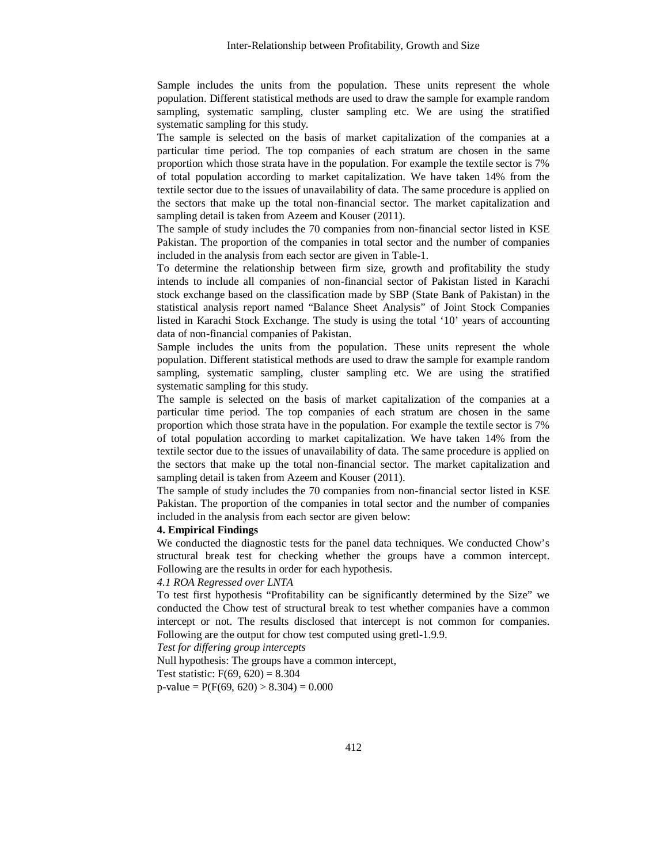Sample includes the units from the population. These units represent the whole population. Different statistical methods are used to draw the sample for example random sampling, systematic sampling, cluster sampling etc. We are using the stratified systematic sampling for this study.

The sample is selected on the basis of market capitalization of the companies at a particular time period. The top companies of each stratum are chosen in the same proportion which those strata have in the population. For example the textile sector is 7% of total population according to market capitalization. We have taken 14% from the textile sector due to the issues of unavailability of data. The same procedure is applied on the sectors that make up the total non-financial sector. The market capitalization and sampling detail is taken from Azeem and Kouser (2011).

The sample of study includes the 70 companies from non-financial sector listed in KSE Pakistan. The proportion of the companies in total sector and the number of companies included in the analysis from each sector are given in Table-1.

To determine the relationship between firm size, growth and profitability the study intends to include all companies of non-financial sector of Pakistan listed in Karachi stock exchange based on the classification made by SBP (State Bank of Pakistan) in the statistical analysis report named "Balance Sheet Analysis" of Joint Stock Companies listed in Karachi Stock Exchange. The study is using the total '10' years of accounting data of non-financial companies of Pakistan.

Sample includes the units from the population. These units represent the whole population. Different statistical methods are used to draw the sample for example random sampling, systematic sampling, cluster sampling etc. We are using the stratified systematic sampling for this study.

The sample is selected on the basis of market capitalization of the companies at a particular time period. The top companies of each stratum are chosen in the same proportion which those strata have in the population. For example the textile sector is 7% of total population according to market capitalization. We have taken 14% from the textile sector due to the issues of unavailability of data. The same procedure is applied on the sectors that make up the total non-financial sector. The market capitalization and sampling detail is taken from Azeem and Kouser (2011).

The sample of study includes the 70 companies from non-financial sector listed in KSE Pakistan. The proportion of the companies in total sector and the number of companies included in the analysis from each sector are given below:

### **4. Empirical Findings**

We conducted the diagnostic tests for the panel data techniques. We conducted Chow's structural break test for checking whether the groups have a common intercept. Following are the results in order for each hypothesis.

#### *4.1 ROA Regressed over LNTA*

To test first hypothesis "Profitability can be significantly determined by the Size" we conducted the Chow test of structural break to test whether companies have a common intercept or not. The results disclosed that intercept is not common for companies. Following are the output for chow test computed using gretl-1.9.9.

*Test for differing group intercepts* 

Null hypothesis: The groups have a common intercept,

Test statistic:  $F(69, 620) = 8.304$ 

 $p-value = P(F(69, 620) > 8.304) = 0.000$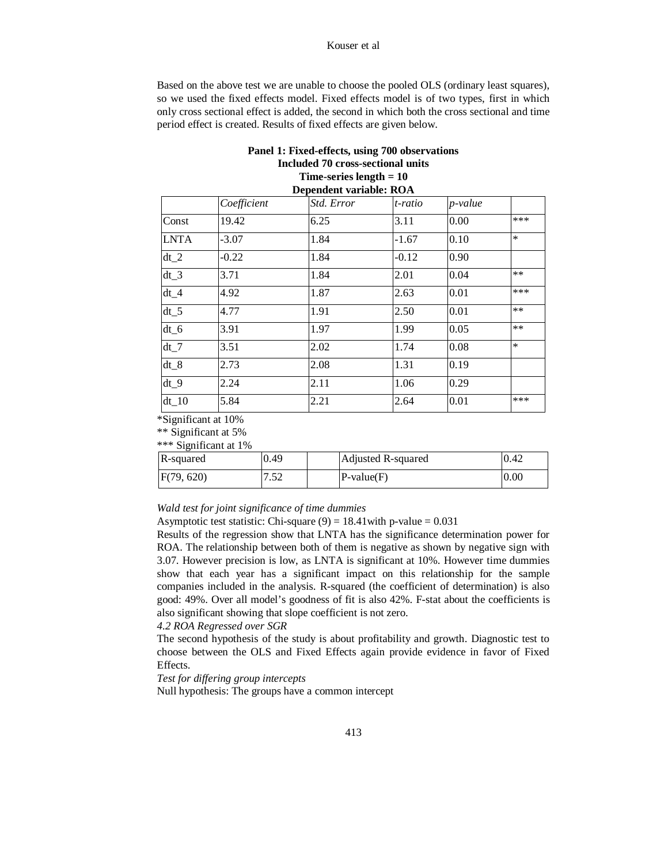#### Kouser et al

Based on the above test we are unable to choose the pooled OLS (ordinary least squares), so we used the fixed effects model. Fixed effects model is of two types, first in which only cross sectional effect is added, the second in which both the cross sectional and time period effect is created. Results of fixed effects are given below.

## **Panel 1: Fixed-effects, using 700 observations Included 70 cross-sectional units Time-series length = 10 Dependent variable: ROA**

|             | Coefficient | Std. Error | t-ratio | p-value |        |
|-------------|-------------|------------|---------|---------|--------|
| Const       | 19.42       | 6.25       | 3.11    | 0.00    | ***    |
| <b>LNTA</b> | $-3.07$     | 1.84       | $-1.67$ | 0.10    | $\ast$ |
| $dt_2$      | $-0.22$     | 1.84       | $-0.12$ | 0.90    |        |
| $dt$ 3      | 3.71        | 1.84       | 2.01    | 0.04    | $***$  |
| $dt_4$      | 4.92        | 1.87       | 2.63    | 0.01    | ***    |
| $dt_5$      | 4.77        | 1.91       | 2.50    | 0.01    | $**$   |
| $dt_6$      | 3.91        | 1.97       | 1.99    | 0.05    | $**$   |
| $dt_7$      | 3.51        | 2.02       | 1.74    | 0.08    | $\ast$ |
| $dt$ 8      | 2.73        | 2.08       | 1.31    | 0.19    |        |
| $dt$ 9      | 2.24        | 2.11       | 1.06    | 0.29    |        |
| dt 10       | 5.84        | 2.21       | 2.64    | 0.01    | ***    |
|             |             |            |         |         |        |

\*Significant at 10%

\*\* Significant at 5%

\*\*\* Significant at 1%

| R-squared  | 0.49                  | Adjusted R-squared | 0.42 |
|------------|-----------------------|--------------------|------|
| F(79, 620) | $5^{\circ}$<br>ے بی ا | $P-value(F)$       | 0.00 |

## *Wald test for joint significance of time dummies*

Asymptotic test statistic: Chi-square  $(9) = 18.41$  with p-value = 0.031

Results of the regression show that LNTA has the significance determination power for ROA. The relationship between both of them is negative as shown by negative sign with 3.07. However precision is low, as LNTA is significant at 10%. However time dummies show that each year has a significant impact on this relationship for the sample companies included in the analysis. R-squared (the coefficient of determination) is also good: 49%. Over all model's goodness of fit is also 42%. F-stat about the coefficients is also significant showing that slope coefficient is not zero.

## *4.2 ROA Regressed over SGR*

The second hypothesis of the study is about profitability and growth. Diagnostic test to choose between the OLS and Fixed Effects again provide evidence in favor of Fixed Effects.

*Test for differing group intercepts*

Null hypothesis: The groups have a common intercept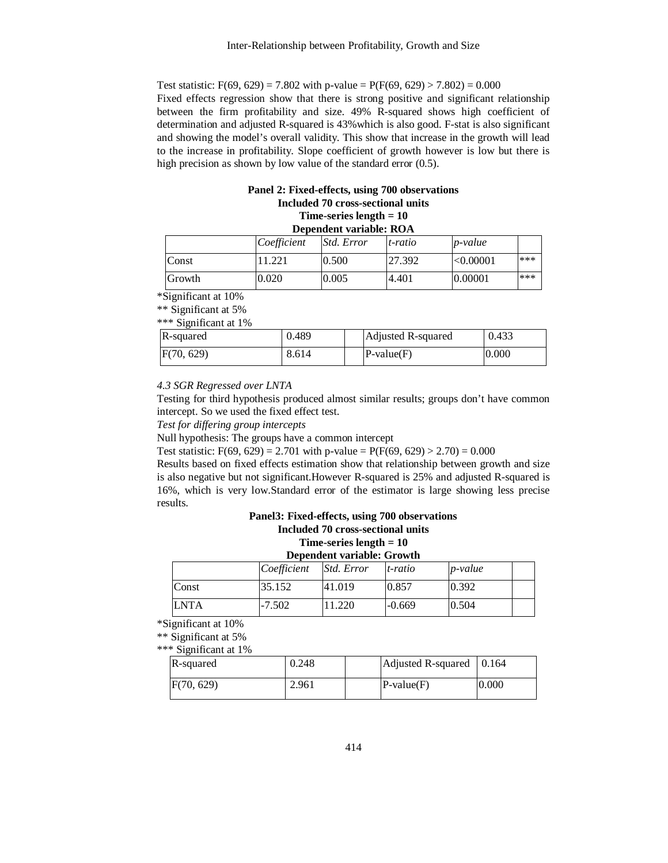Test statistic:  $F(69, 629) = 7.802$  with p-value =  $P(F(69, 629) > 7.802) = 0.000$ Fixed effects regression show that there is strong positive and significant relationship between the firm profitability and size. 49% R-squared shows high coefficient of determination and adjusted R-squared is 43%which is also good. F-stat is also significant and showing the model's overall validity. This show that increase in the growth will lead to the increase in profitability. Slope coefficient of growth however is low but there is high precision as shown by low value of the standard error  $(0.5)$ .

# **Panel 2: Fixed-effects, using 700 observations Included 70 cross-sectional units Time-series length = 10**

| Dependent variable: ROA |             |                   |         |            |     |  |  |
|-------------------------|-------------|-------------------|---------|------------|-----|--|--|
|                         | Coefficient | <i>Std. Error</i> | t-ratio | $p$ -value |     |  |  |
| Const                   |             | 0.500             | 27.392  | < 0.00001  | *** |  |  |
| Growth                  | 0.020       | 0.005             | 14.401  | 0.00001    | *** |  |  |

\*Significant at 10%

\*\* Significant at 5%

\*\*\* Significant at 1%

| R-squared  | 0.489 | Adjusted R-squared | 0.433 |
|------------|-------|--------------------|-------|
| F(70, 629) | 8.614 | $P-value(F)$       | 0.000 |

## *4.3 SGR Regressed over LNTA*

Testing for third hypothesis produced almost similar results; groups don't have common intercept. So we used the fixed effect test.

*Test for differing group intercepts*

Null hypothesis: The groups have a common intercept

Test statistic:  $F(69, 629) = 2.701$  with p-value =  $P(F(69, 629) > 2.70) = 0.000$ 

Results based on fixed effects estimation show that relationship between growth and size is also negative but not significant.However R-squared is 25% and adjusted R-squared is 16%, which is very low.Standard error of the estimator is large showing less precise results.

# **Panel3: Fixed-effects, using 700 observations Included 70 cross-sectional units Time-series length = 10**

| Dependent variable: Growth |             |            |          |                 |  |  |
|----------------------------|-------------|------------|----------|-----------------|--|--|
|                            | Coefficient | Std. Error | t-ratio  | <i>p</i> -value |  |  |
| Const                      | 35.152      | 41.019     | 0.857    | 0.392           |  |  |
| <b>ILNTA</b>               | $-7.502$    | 11.220     | $-0.669$ | 0.504           |  |  |

\*Significant at 10%

\*\* Significant at 5%

\*\*\* Significant at 1%

| R-squared  | 0.248 | Adjusted R-squared   0.164 |       |
|------------|-------|----------------------------|-------|
| F(70, 629) | 2.961 | $P-value(F)$               | 0.000 |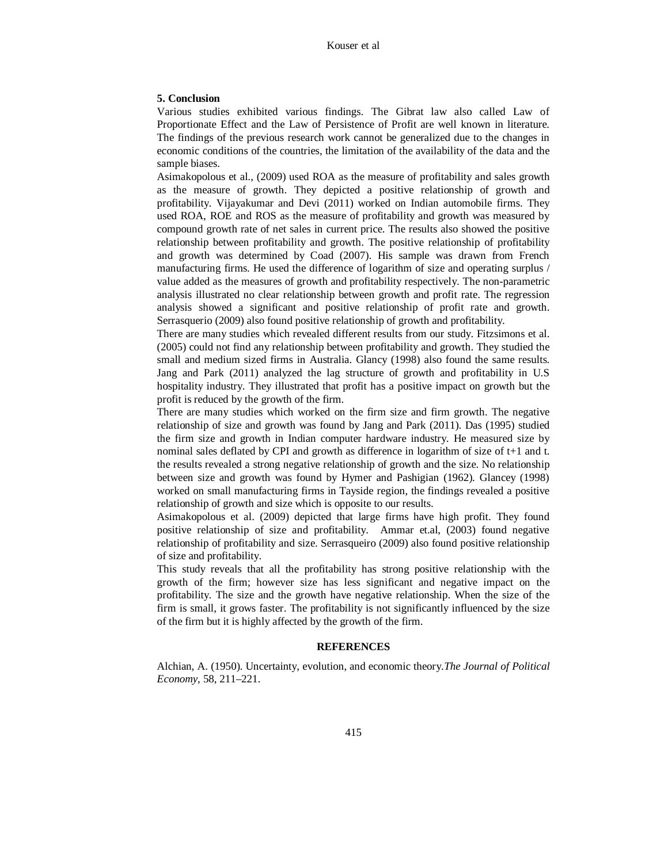## **5. Conclusion**

Various studies exhibited various findings. The Gibrat law also called Law of Proportionate Effect and the Law of Persistence of Profit are well known in literature. The findings of the previous research work cannot be generalized due to the changes in economic conditions of the countries, the limitation of the availability of the data and the sample biases.

Asimakopolous et al., (2009) used ROA as the measure of profitability and sales growth as the measure of growth. They depicted a positive relationship of growth and profitability. Vijayakumar and Devi (2011) worked on Indian automobile firms. They used ROA, ROE and ROS as the measure of profitability and growth was measured by compound growth rate of net sales in current price. The results also showed the positive relationship between profitability and growth. The positive relationship of profitability and growth was determined by Coad (2007). His sample was drawn from French manufacturing firms. He used the difference of logarithm of size and operating surplus / value added as the measures of growth and profitability respectively. The non-parametric analysis illustrated no clear relationship between growth and profit rate. The regression analysis showed a significant and positive relationship of profit rate and growth. Serrasquerio (2009) also found positive relationship of growth and profitability.

There are many studies which revealed different results from our study. Fitzsimons et al. (2005) could not find any relationship between profitability and growth. They studied the small and medium sized firms in Australia. Glancy (1998) also found the same results. Jang and Park (2011) analyzed the lag structure of growth and profitability in U.S hospitality industry. They illustrated that profit has a positive impact on growth but the profit is reduced by the growth of the firm.

There are many studies which worked on the firm size and firm growth. The negative relationship of size and growth was found by Jang and Park (2011). Das (1995) studied the firm size and growth in Indian computer hardware industry. He measured size by nominal sales deflated by CPI and growth as difference in logarithm of size of t+1 and t. the results revealed a strong negative relationship of growth and the size. No relationship between size and growth was found by Hymer and Pashigian (1962). Glancey (1998) worked on small manufacturing firms in Tayside region, the findings revealed a positive relationship of growth and size which is opposite to our results.

Asimakopolous et al. (2009) depicted that large firms have high profit. They found positive relationship of size and profitability. Ammar et.al, (2003) found negative relationship of profitability and size. Serrasqueiro (2009) also found positive relationship of size and profitability.

This study reveals that all the profitability has strong positive relationship with the growth of the firm; however size has less significant and negative impact on the profitability. The size and the growth have negative relationship. When the size of the firm is small, it grows faster. The profitability is not significantly influenced by the size of the firm but it is highly affected by the growth of the firm.

## **REFERENCES**

Alchian, A. (1950). Uncertainty, evolution, and economic theory.*The Journal of Political Economy*, 58, 211–221.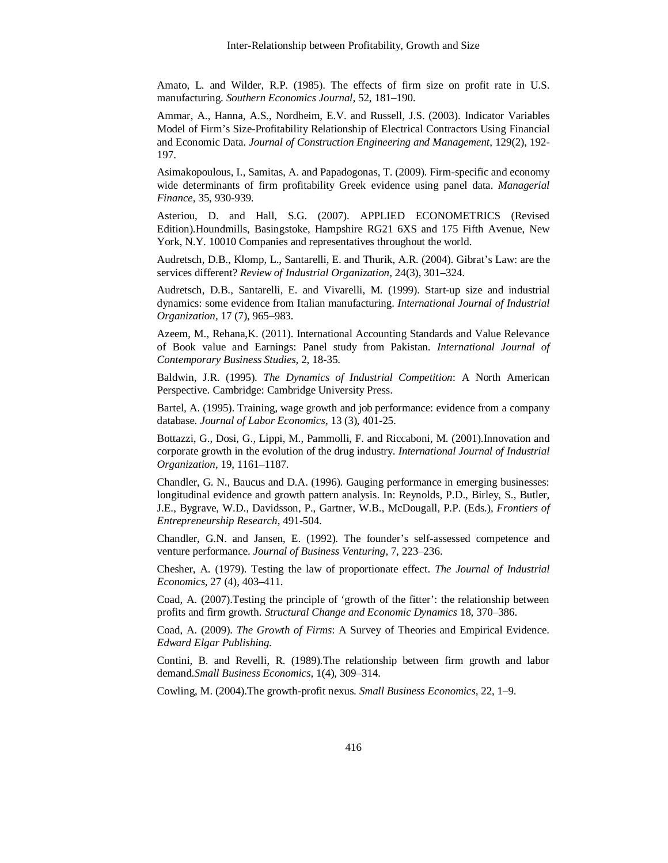Amato, L. and Wilder, R.P. (1985). The effects of firm size on profit rate in U.S. manufacturing. *Southern Economics Journal,* 52, 181–190.

Ammar, A., Hanna, A.S., Nordheim, E.V. and Russell, J.S. (2003). Indicator Variables Model of Firm's Size-Profitability Relationship of Electrical Contractors Using Financial and Economic Data. *Journal of Construction Engineering and Management*, 129(2), 192- 197.

Asimakopoulous, I., Samitas, A. and Papadogonas, T. (2009). Firm-specific and economy wide determinants of firm profitability Greek evidence using panel data. *Managerial Finance,* 35, 930-939.

Asteriou, D. and Hall, S.G. (2007). APPLIED ECONOMETRICS (Revised Edition).Houndmills, Basingstoke, Hampshire RG21 6XS and 175 Fifth Avenue, New York, N.Y. 10010 Companies and representatives throughout the world.

Audretsch, D.B., Klomp, L., Santarelli, E. and Thurik, A.R. (2004). Gibrat's Law: are the services different? *Review of Industrial Organization,* 24(3), 301–324.

Audretsch, D.B., Santarelli, E. and Vivarelli, M. (1999). Start-up size and industrial dynamics: some evidence from Italian manufacturing. *International Journal of Industrial Organization,* 17 (7), 965–983.

Azeem, M., Rehana,K. (2011). International Accounting Standards and Value Relevance of Book value and Earnings: Panel study from Pakistan. *International Journal of Contemporary Business Studies,* 2, 18-35.

Baldwin, J.R. (1995). *The Dynamics of Industrial Competition*: A North American Perspective. Cambridge: Cambridge University Press.

Bartel, A. (1995). Training, wage growth and job performance: evidence from a company database. *Journal of Labor Economics,* 13 (3), 401-25.

Bottazzi, G., Dosi, G., Lippi, M., Pammolli, F. and Riccaboni, M. (2001).Innovation and corporate growth in the evolution of the drug industry. *International Journal of Industrial Organization,* 19, 1161–1187.

Chandler, G. N., Baucus and D.A. (1996). Gauging performance in emerging businesses: longitudinal evidence and growth pattern analysis. In: Reynolds, P.D., Birley, S., Butler, J.E., Bygrave, W.D., Davidsson, P., Gartner, W.B., McDougall, P.P. (Eds.), *Frontiers of Entrepreneurship Research*, 491-504.

Chandler, G.N. and Jansen, E. (1992). The founder's self-assessed competence and venture performance. *Journal of Business Venturing,* 7, 223–236.

Chesher, A. (1979). Testing the law of proportionate effect. *The Journal of Industrial Economics,* 27 (4), 403–411.

Coad, A. (2007).Testing the principle of 'growth of the fitter': the relationship between profits and firm growth. *Structural Change and Economic Dynamics* 18, 370–386.

Coad, A. (2009). *The Growth of Firms*: A Survey of Theories and Empirical Evidence. *Edward Elgar Publishing.*

Contini, B. and Revelli, R. (1989).The relationship between firm growth and labor demand.*Small Business Economics,* 1(4), 309–314.

Cowling, M. (2004).The growth-profit nexus. *Small Business Economics,* 22, 1–9.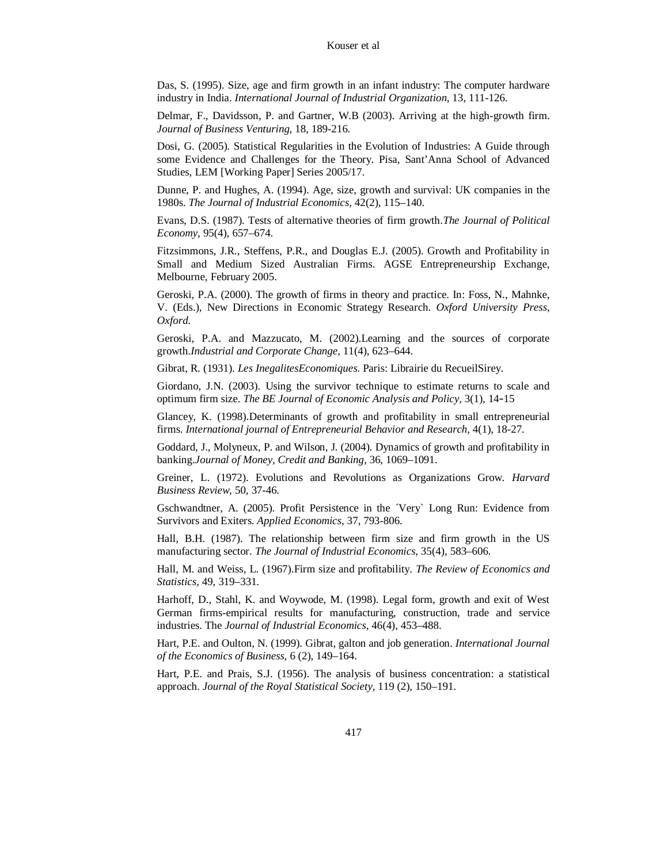Das, S. (1995). Size, age and firm growth in an infant industry: The computer hardware industry in India. *International Journal of Industrial Organization,* 13, 111-126.

Delmar, F., Davidsson, P. and Gartner, W.B (2003). Arriving at the high-growth firm. *Journal of Business Venturing,* 18, 189-216.

Dosi, G. (2005). Statistical Regularities in the Evolution of Industries: A Guide through some Evidence and Challenges for the Theory. Pisa, Sant'Anna School of Advanced Studies, LEM [Working Paper] Series 2005/17.

Dunne, P. and Hughes, A. (1994). Age, size, growth and survival: UK companies in the 1980s. *The Journal of Industrial Economics,* 42(2), 115–140.

Evans, D.S. (1987). Tests of alternative theories of firm growth.*The Journal of Political Economy,* 95(4), 657–674.

Fitzsimmons, J.R., Steffens, P.R., and Douglas E.J. (2005). Growth and Profitability in Small and Medium Sized Australian Firms. AGSE Entrepreneurship Exchange, Melbourne, February 2005.

Geroski, P.A. (2000). The growth of firms in theory and practice. In: Foss, N., Mahnke, V. (Eds.), New Directions in Economic Strategy Research. *Oxford University Press, Oxford*.

Geroski, P.A. and Mazzucato, M. (2002).Learning and the sources of corporate growth.*Industrial and Corporate Change,* 11(4), 623–644.

Gibrat, R. (1931). *Les InegalitesEconomiques*. Paris: Librairie du RecueilSirey.

Giordano, J.N. (2003). Using the survivor technique to estimate returns to scale and optimum firm size. *The BE Journal of Economic Analysis and Policy,* 3(1), 14-15

Glancey, K. (1998).Determinants of growth and profitability in small entrepreneurial firms. *International journal of Entrepreneurial Behavior and Research,* 4(1), 18-27.

Goddard, J., Molyneux, P. and Wilson, J. (2004). Dynamics of growth and profitability in banking.*Journal of Money, Credit and Banking,* 36, 1069–1091.

Greiner, L. (1972). Evolutions and Revolutions as Organizations Grow. *Harvard Business Review,* 50, 37-46.

Gschwandtner, A. (2005). Profit Persistence in the ´Very` Long Run: Evidence from Survivors and Exiters. *Applied Economics*, 37, 793-806.

Hall, B.H. (1987). The relationship between firm size and firm growth in the US manufacturing sector. *The Journal of Industrial Economics,* 35(4), 583–606.

Hall, M. and Weiss, L. (1967).Firm size and profitability. *The Review of Economics and Statistics,* 49, 319–331.

Harhoff, D., Stahl, K. and Woywode, M. (1998). Legal form, growth and exit of West German firms-empirical results for manufacturing, construction, trade and service industries. The *Journal of Industrial Economics,* 46(4), 453–488.

Hart, P.E. and Oulton, N. (1999). Gibrat, galton and job generation. *International Journal of the Economics of Business,* 6 (2), 149–164.

Hart, P.E. and Prais, S.J. (1956). The analysis of business concentration: a statistical approach. *Journal of the Royal Statistical Society,* 119 (2), 150–191.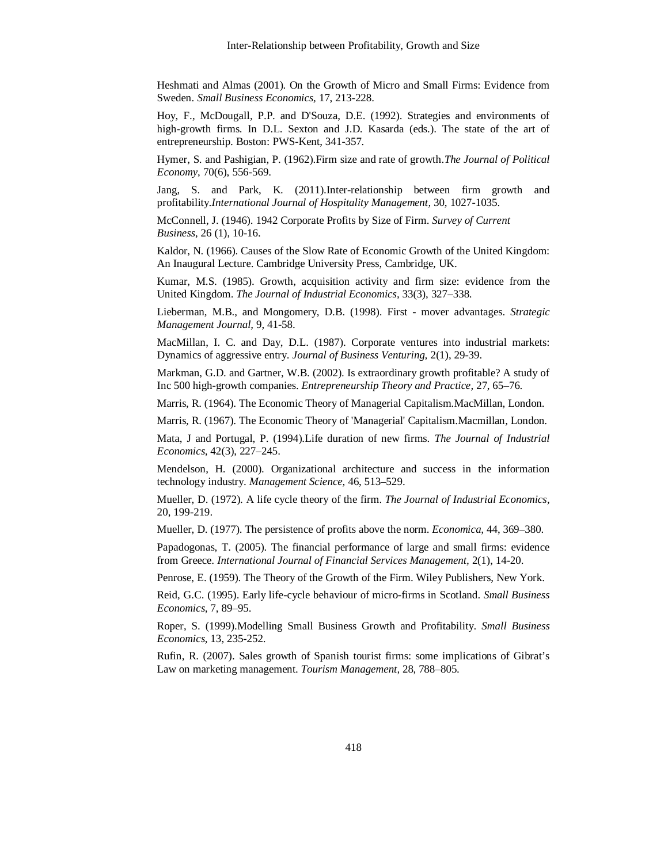Heshmati and Almas (2001). On the Growth of Micro and Small Firms: Evidence from Sweden. *Small Business Economics,* 17, 213-228.

Hoy, F., McDougall, P.P. and D'Souza, D.E. (1992). Strategies and environments of high-growth firms. In D.L. Sexton and J.D. Kasarda (eds.). The state of the art of entrepreneurship. Boston: PWS-Kent, 341-357.

Hymer, S. and Pashigian, P. (1962).Firm size and rate of growth.*The Journal of Political Economy*, 70(6), 556-569.

Jang, S. and Park, K. (2011).Inter-relationship between firm growth and profitability.*International Journal of Hospitality Management,* 30, 1027-1035.

McConnell, J. (1946). 1942 Corporate Profits by Size of Firm. *Survey of Current Business*, 26 (1), 10-16.

Kaldor, N. (1966). Causes of the Slow Rate of Economic Growth of the United Kingdom: An Inaugural Lecture. Cambridge University Press, Cambridge, UK.

Kumar, M.S. (1985). Growth, acquisition activity and firm size: evidence from the United Kingdom. *The Journal of Industrial Economics,* 33(3), 327–338.

Lieberman, M.B., and Mongomery, D.B. (1998). First - mover advantages. *Strategic Management Journal,* 9, 41-58.

MacMillan, I. C. and Day, D.L. (1987). Corporate ventures into industrial markets: Dynamics of aggressive entry. *Journal of Business Venturing,* 2(1), 29-39.

Markman, G.D. and Gartner, W.B. (2002). Is extraordinary growth profitable? A study of Inc 500 high-growth companies. *Entrepreneurship Theory and Practice,* 27, 65–76.

Marris, R. (1964). The Economic Theory of Managerial Capitalism.MacMillan, London.

Marris, R. (1967). The Economic Theory of 'Managerial' Capitalism.Macmillan, London.

Mata, J and Portugal, P. (1994).Life duration of new firms. *The Journal of Industrial Economics,* 42(3), 227–245.

Mendelson, H. (2000). Organizational architecture and success in the information technology industry. *Management Science,* 46, 513–529.

Mueller, D. (1972). A life cycle theory of the firm. *The Journal of Industrial Economics,* 20, 199-219.

Mueller, D. (1977). The persistence of profits above the norm. *Economica,* 44, 369–380.

Papadogonas, T. (2005). The financial performance of large and small firms: evidence from Greece. *International Journal of Financial Services Management,* 2(1), 14-20.

Penrose, E. (1959). The Theory of the Growth of the Firm. Wiley Publishers, New York.

Reid, G.C. (1995). Early life-cycle behaviour of micro-firms in Scotland. *Small Business Economics,* 7, 89–95.

Roper, S. (1999).Modelling Small Business Growth and Profitability. *Small Business Economics*, 13, 235-252.

Rufin, R. (2007). Sales growth of Spanish tourist firms: some implications of Gibrat's Law on marketing management. *Tourism Management,* 28, 788–805.